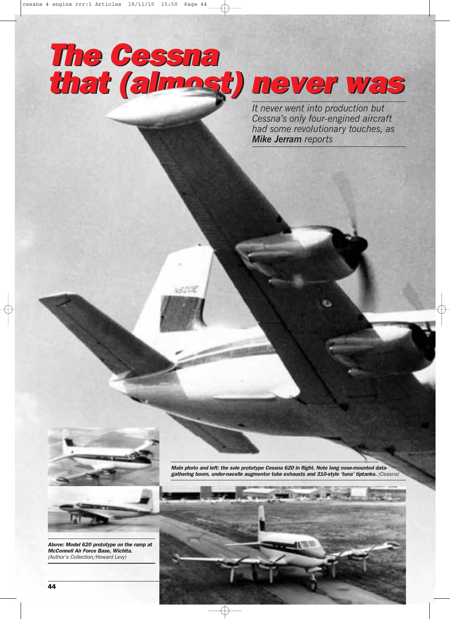## *The Cessna that (almost) never was The Cessna that (almost) never was*

*It never went into production but Cessna's only four-engined aircraft had some revolutionary touches, as Mike Jerram reports*



NEZUE

*Above: Model 620 prototype on the ramp at McConnell Air Force Base, Wichita.*

*(Author's Collection/Howard Levy)*

*Main photo and left: the sole prototype Cessna 620 in flight. Note long nose-mounted datagathering boom, under-nacelle augmentor tube exhausts and 310-style 'tuna' tiptanks. (Cessna)*

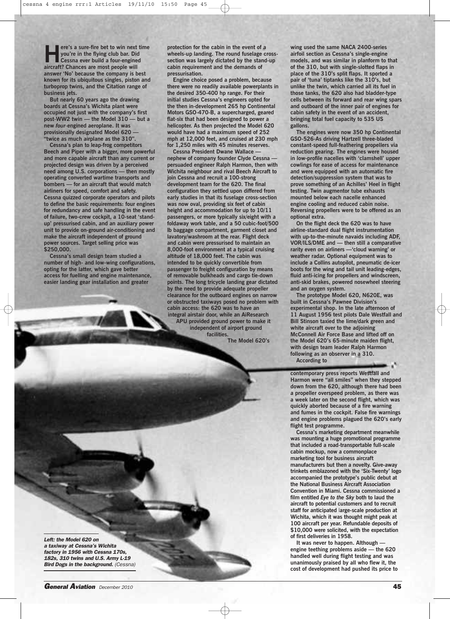**Here's a sure-fire** bet **to** win next time<br>you're in the flying club bar. Did<br>Cessna ever build a four-engined<br>aircraft? Chances are most people will **you're in the flying club bar. Did Cessna ever build a four-engined aircraft? Chances are most people will answer 'No' because the company is best known for its ubiquitous singles, piston and turboprop twins, and the Citation range of business jets.**

**But nearly 60 years ago the drawing boards at Cessna's Wichita plant were occupied not just with the company's first post-WW2 twin — the Model 310 — but a new** *four*-**engined aeroplane. It was provisionally** designated Model 620  $\cdot$ **"twice as much airplane as the 310".**

**Cessna's plan to leap-frog competitors Beech and Piper with a bigger, more powerful and more capable aircraft than any current or projected design was driven by a perceived need among U.S. corporations — then mostly operating converted wartime transports and bombers — for an aircraft that would match airliners for speed, comfort and safety. Cessna quizzed corporate operators and pilots to define the basic requirements: four engines for redundancy and safe handling in the event of failure, two-crew cockpit, a 10-seat 'standup' pressurised cabin, and an auxiliary power unit to provide on-ground air-conditioning and make the aircraft independent of ground power sources. Target selling price was \$250,000.**

**Cessna's small design team studied a number of high- and low-wing configurations, opting for the latter, which gave better access for fuelling and engine maintenance, easier landing gear installation and greater**

**protection for the cabin in the event of a wheels-up landing. The round fuselage crosssection was largely dictated by the stand-up cabin requirement and the demands of pressurisation.**

**Engine choice posed a problem, because there were no readily available powerplants in the desired 350-400 hp range. For their initial studies Cessna's engineers opted for the then in-development 265 hp Continental Motors GSO-470-B, a supercharged, geared flat-six that had been designed to power a helicopter. As then projected the Model 620 would have had a maximum speed of 252 mph at 12,000 feet, and cruised at 230 mph for 1,250 miles with 45 minutes reserves.**

**Cessna President Dwane Wallace nephew of company founder Clyde Cessna persuaded engineer Ralph Harmon, then with Wichita neighbour and rival Beech Aircraft to join Cessna and recruit a 100-strong development team for the 620. The final configuration they settled upon differed from early studies in that its fuselage cross-section was now oval, providing six feet of cabin height and accommodation for up to 10/11 passengers, or more typically six/eight with a foldaway work table, and a 50 cubic-foot/500 lb baggage compartment, garment closet and lavatory/washroom at the rear. Flight deck and cabin were pressurised to maintain an 8,000-foot environment at a typical cruising altitude of 18,000 feet. The cabin was intended to be quickly convertible from passenger to freight configuration by means of removable bulkheads and cargo tie-down points. The long tricycle landing gear dictated by the need to provide adequate propeller clearance for the outboard engines on narrow or obstructed taxiways posed no problem with cabin access: the 620 was to have an integral airstair door, while an AiResearch APU provided ground power to make it**

**independent of airport ground facilities.**

**The Model 620's**

**wing used the same NACA 2400-series airfoil section as Cessna's single-engine models, and was similar in planform to that of the 310, but with single-slotted flaps in place of the 310's split flaps. It sported a pair of 'tuna' tiptanks like the 310's, but unlike the twin, which carried all its fuel in those tanks, the 620 also had bladder-type cells between its forward and rear wing spars and outboard of the inner pair of engines for cabin safety in the event of an accident, bringing total fuel capacity to 535 US gallons.**

**The engines were now 350 hp Continental GSO-526-As driving Hartzell three-bladed constant-speed full-feathering propellers via reduction gearing. The engines were housed in low-profile nacelles with 'clamshell' upper cowlings for ease of access for maintenance and were equipped with an automatic fire detection/suppression system that was to prove something of an Achilles' Heel in flight testing. Twin augmentor tube exhausts mounted below each nacelle enhanced engine cooling and reduced cabin noise. Reversing propellers were to be offered as an optional extra.**

**On the flight deck the 620 was to have airline-standard dual flight instrumentation with up-to-the-minute navaids including ADF, VOR/ILS/DME and — then still a comparative rarity even on airliners —'cloud warning' or weather radar. Optional equipment was to include a Collins autopilot, pneumatic de-icer boots for the wing and tail unit leading-edges, fluid anti-icing for propellers and windscreen, anti-skid brakes, powered nosewheel steering and an oxygen system.**

**The prototype Model 620, N620E, was built in Cessna's Pawnee Division's experimental shop. In the late afternoon of 11 August 1956 test pilots Dale Westfall and Bill Stinson taxied the lime/dark green and white aircraft over to the adjoining McConnell Air Force Base and lifted off on the Model 620's 65-minute maiden flight, with design team leader Ralph Harmon following as an observer in a 310.**

**According to**

**contemporary press reports Westfall and Harmon were "all smiles" when they stepped down from the 620, although there had been a propeller overspeed problem, as there was a week later on the second flight, which was quickly aborted because of a fire warning and fumes in the cockpit. False fire warnings and engine problems plagued the 620's early flight test programme.**

**Cessna's marketing department meanwhile was mounting a huge promotional programme that included a road-transportable full-scale cabin mockup, now a commonplace marketing tool for business aircraft manufacturers but then a novelty. Give-away trinkets emblazoned with the 'Six-Twenty' logo accompanied the prototype's public debut at the National Business Aircraft Association Convention in Miami. Cessna commissioned a film entitled** *Eye to the Sky* **both to laud the aircraft to potential customers and to recruit staff for anticipated** l**arge-scale production at Wichita, which it was thought might peak at 100 aircraft per year. Refundable deposits of \$10,000 were solicited, with the expectation of first deliveries in 1958.**

**It was never to happen. Although engine teething problems aside — the 620 handled well during flight testing and was unanimously praised by all who flew it, the cost of development had pushed its price to**

*Left: the Model 620 on a taxiway at Cessna's Wichita factory in 1956 with Cessna 170s, 182s, 310 twins and U.S. Army L-19 Bird Dogs in the background. (Cessna)*